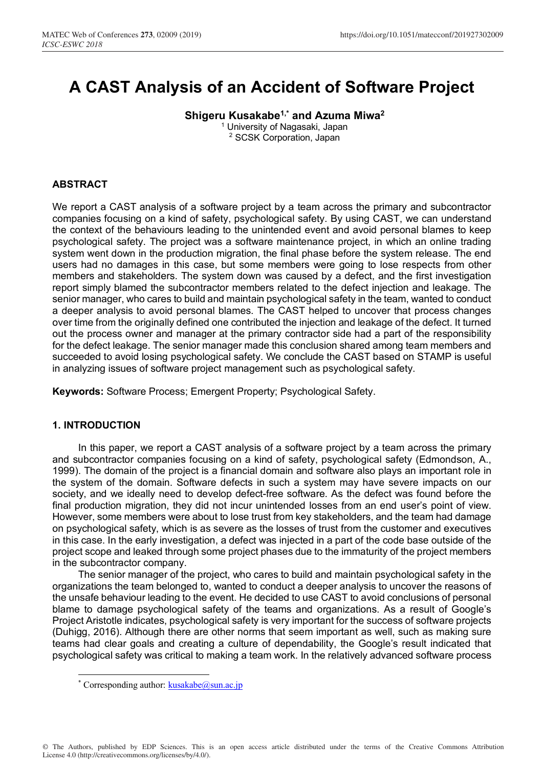# **A CAST Analysis of an Accident of Software Project**

**Shigeru Kusakabe1,\* and Azuma Miwa2**

1 University of Nagasaki, Japan 2 SCSK Corporation, Japan

## **ABSTRACT**

We report a CAST analysis of a software project by a team across the primary and subcontractor companies focusing on a kind of safety, psychological safety. By using CAST, we can understand the context of the behaviours leading to the unintended event and avoid personal blames to keep psychological safety. The project was a software maintenance project, in which an online trading system went down in the production migration, the final phase before the system release. The end users had no damages in this case, but some members were going to lose respects from other members and stakeholders. The system down was caused by a defect, and the first investigation report simply blamed the subcontractor members related to the defect injection and leakage. The senior manager, who cares to build and maintain psychological safety in the team, wanted to conduct a deeper analysis to avoid personal blames. The CAST helped to uncover that process changes over time from the originally defined one contributed the injection and leakage of the defect. It turned out the process owner and manager at the primary contractor side had a part of the responsibility for the defect leakage. The senior manager made this conclusion shared among team members and succeeded to avoid losing psychological safety. We conclude the CAST based on STAMP is useful in analyzing issues of software project management such as psychological safety.

**Keywords:** Software Process; Emergent Property; Psychological Safety.

### **1. INTRODUCTION**

 $\ddot{\phantom{a}}$ 

In this paper, we report a CAST analysis of a software project by a team across the primary and subcontractor companies focusing on a kind of safety, psychological safety (Edmondson, A., 1999). The domain of the project is a financial domain and software also plays an important role in the system of the domain. Software defects in such a system may have severe impacts on our society, and we ideally need to develop defect-free software. As the defect was found before the final production migration, they did not incur unintended losses from an end user's point of view. However, some members were about to lose trust from key stakeholders, and the team had damage on psychological safety, which is as severe as the losses of trust from the customer and executives in this case. In the early investigation, a defect was injected in a part of the code base outside of the project scope and leaked through some project phases due to the immaturity of the project members in the subcontractor company.

The senior manager of the project, who cares to build and maintain psychological safety in the organizations the team belonged to, wanted to conduct a deeper analysis to uncover the reasons of the unsafe behaviour leading to the event. He decided to use CAST to avoid conclusions of personal blame to damage psychological safety of the teams and organizations. As a result of Google's Project Aristotle indicates, psychological safety is very important for the success of software projects (Duhigg, 2016). Although there are other norms that seem important as well, such as making sure teams had clear goals and creating a culture of dependability, the Google's result indicated that psychological safety was critical to making a team work. In the relatively advanced software process

<sup>\*</sup> Corresponding author: kusakabe@sun.ac.jp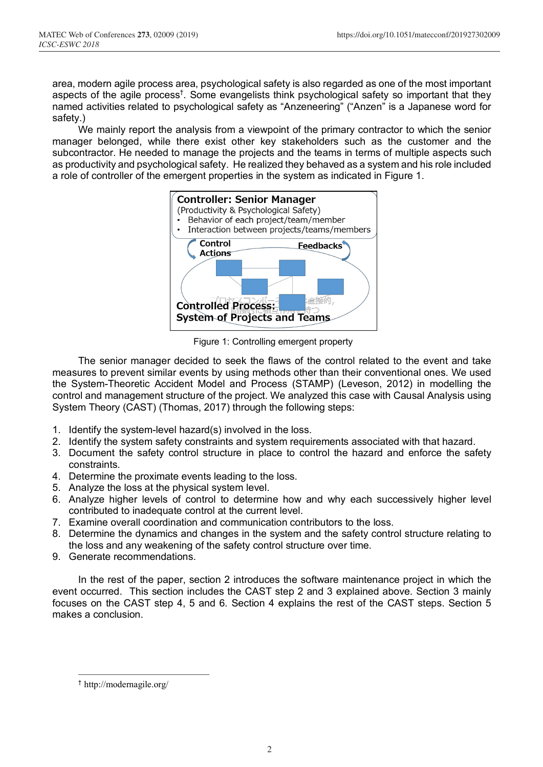area, modern agile process area, psychological safety is also regarded as one of the most important aspects of the agile process<sup>†</sup>. Some evangelists think psychological safety so important that they named activities related to psychological safety as "Anzeneering" ("Anzen" is a Japanese word for safety.)

We mainly report the analysis from a viewpoint of the primary contractor to which the senior manager belonged, while there exist other key stakeholders such as the customer and the subcontractor. He needed to manage the projects and the teams in terms of multiple aspects such as productivity and psychological safety. He realized they behaved as a system and his role included a role of controller of the emergent properties in the system as indicated in Figure 1.



Figure 1: Controlling emergent property

The senior manager decided to seek the flaws of the control related to the event and take measures to prevent similar events by using methods other than their conventional ones. We used the System-Theoretic Accident Model and Process (STAMP) (Leveson, 2012) in modelling the control and management structure of the project. We analyzed this case with Causal Analysis using System Theory (CAST) (Thomas, 2017) through the following steps:

- 1. Identify the system-level hazard(s) involved in the loss.
- 2. Identify the system safety constraints and system requirements associated with that hazard.
- 3. Document the safety control structure in place to control the hazard and enforce the safety constraints.
- 4. Determine the proximate events leading to the loss.
- 5. Analyze the loss at the physical system level.
- 6. Analyze higher levels of control to determine how and why each successively higher level contributed to inadequate control at the current level.
- 7. Examine overall coordination and communication contributors to the loss.
- 8. Determine the dynamics and changes in the system and the safety control structure relating to the loss and any weakening of the safety control structure over time.
- 9. Generate recommendations.

In the rest of the paper, section 2 introduces the software maintenance project in which the event occurred. This section includes the CAST step 2 and 3 explained above. Section 3 mainly focuses on the CAST step 4, 5 and 6. Section 4 explains the rest of the CAST steps. Section 5 makes a conclusion.

<sup>-</sup>† http://modernagile.org/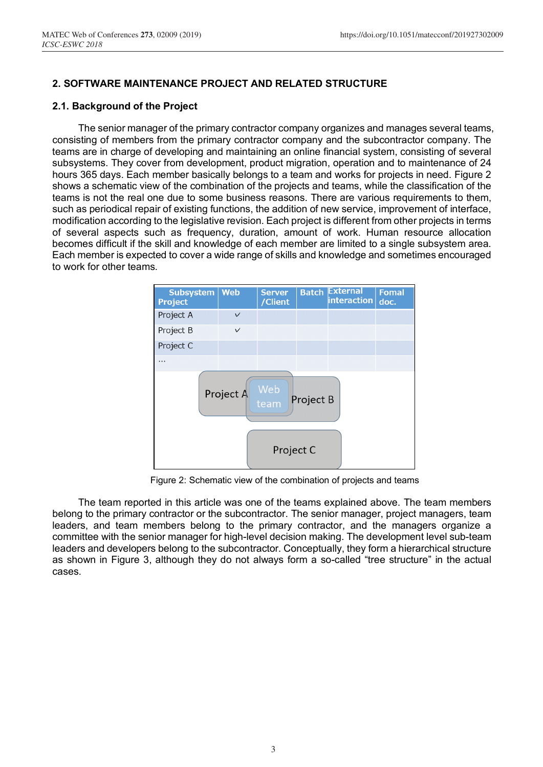## **2. SOFTWARE MAINTENANCE PROJECT AND RELATED STRUCTURE**

### **2.1. Background of the Project**

The senior manager of the primary contractor company organizes and manages several teams, consisting of members from the primary contractor company and the subcontractor company. The teams are in charge of developing and maintaining an online financial system, consisting of several subsystems. They cover from development, product migration, operation and to maintenance of 24 hours 365 days. Each member basically belongs to a team and works for projects in need. Figure 2 shows a schematic view of the combination of the projects and teams, while the classification of the teams is not the real one due to some business reasons. There are various requirements to them, such as periodical repair of existing functions, the addition of new service, improvement of interface, modification according to the legislative revision. Each project is different from other projects in terms of several aspects such as frequency, duration, amount of work. Human resource allocation becomes difficult if the skill and knowledge of each member are limited to a single subsystem area. Each member is expected to cover a wide range of skills and knowledge and sometimes encouraged to work for other teams.



Figure 2: Schematic view of the combination of projects and teams

The team reported in this article was one of the teams explained above. The team members belong to the primary contractor or the subcontractor. The senior manager, project managers, team leaders, and team members belong to the primary contractor, and the managers organize a committee with the senior manager for high-level decision making. The development level sub-team leaders and developers belong to the subcontractor. Conceptually, they form a hierarchical structure as shown in Figure 3, although they do not always form a so-called "tree structure" in the actual cases.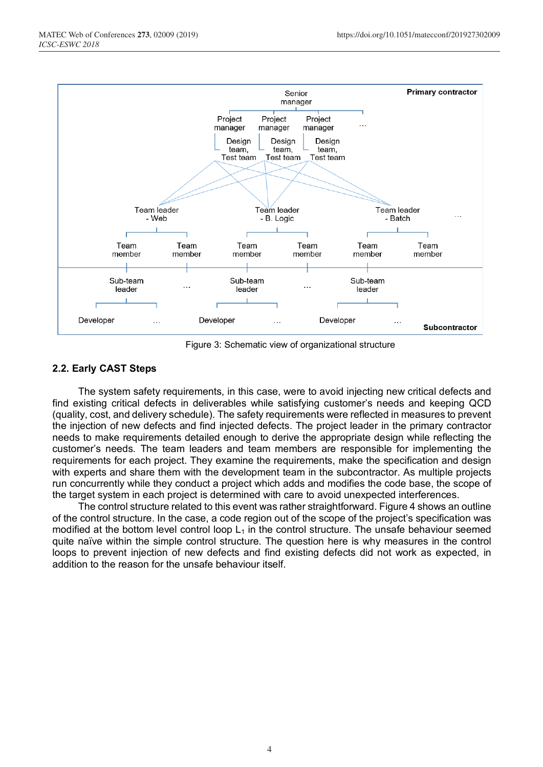

Figure 3: Schematic view of organizational structure

### **2.2. Early CAST Steps**

The system safety requirements, in this case, were to avoid injecting new critical defects and find existing critical defects in deliverables while satisfying customer's needs and keeping QCD (quality, cost, and delivery schedule). The safety requirements were reflected in measures to prevent the injection of new defects and find injected defects. The project leader in the primary contractor needs to make requirements detailed enough to derive the appropriate design while reflecting the customer's needs. The team leaders and team members are responsible for implementing the requirements for each project. They examine the requirements, make the specification and design with experts and share them with the development team in the subcontractor. As multiple projects run concurrently while they conduct a project which adds and modifies the code base, the scope of the target system in each project is determined with care to avoid unexpected interferences.

The control structure related to this event was rather straightforward. Figure 4 shows an outline of the control structure. In the case, a code region out of the scope of the project's specification was modified at the bottom level control loop  $L_1$  in the control structure. The unsafe behaviour seemed quite naïve within the simple control structure. The question here is why measures in the control loops to prevent injection of new defects and find existing defects did not work as expected, in addition to the reason for the unsafe behaviour itself.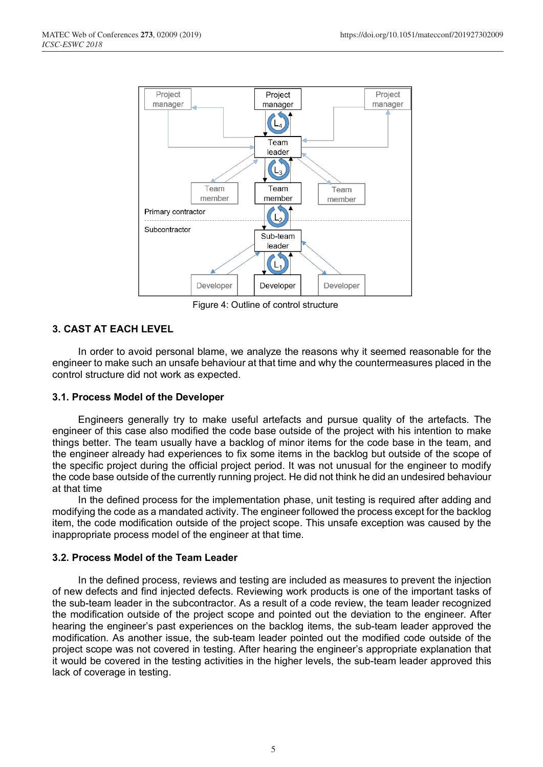

Figure 4: Outline of control structure

## **3. CAST AT EACH LEVEL**

In order to avoid personal blame, we analyze the reasons why it seemed reasonable for the engineer to make such an unsafe behaviour at that time and why the countermeasures placed in the control structure did not work as expected.

### **3.1. Process Model of the Developer**

Engineers generally try to make useful artefacts and pursue quality of the artefacts. The engineer of this case also modified the code base outside of the project with his intention to make things better. The team usually have a backlog of minor items for the code base in the team, and the engineer already had experiences to fix some items in the backlog but outside of the scope of the specific project during the official project period. It was not unusual for the engineer to modify the code base outside of the currently running project. He did not think he did an undesired behaviour at that time

In the defined process for the implementation phase, unit testing is required after adding and modifying the code as a mandated activity. The engineer followed the process except for the backlog item, the code modification outside of the project scope. This unsafe exception was caused by the inappropriate process model of the engineer at that time.

### **3.2. Process Model of the Team Leader**

In the defined process, reviews and testing are included as measures to prevent the injection of new defects and find injected defects. Reviewing work products is one of the important tasks of the sub-team leader in the subcontractor. As a result of a code review, the team leader recognized the modification outside of the project scope and pointed out the deviation to the engineer. After hearing the engineer's past experiences on the backlog items, the sub-team leader approved the modification. As another issue, the sub-team leader pointed out the modified code outside of the project scope was not covered in testing. After hearing the engineer's appropriate explanation that it would be covered in the testing activities in the higher levels, the sub-team leader approved this lack of coverage in testing.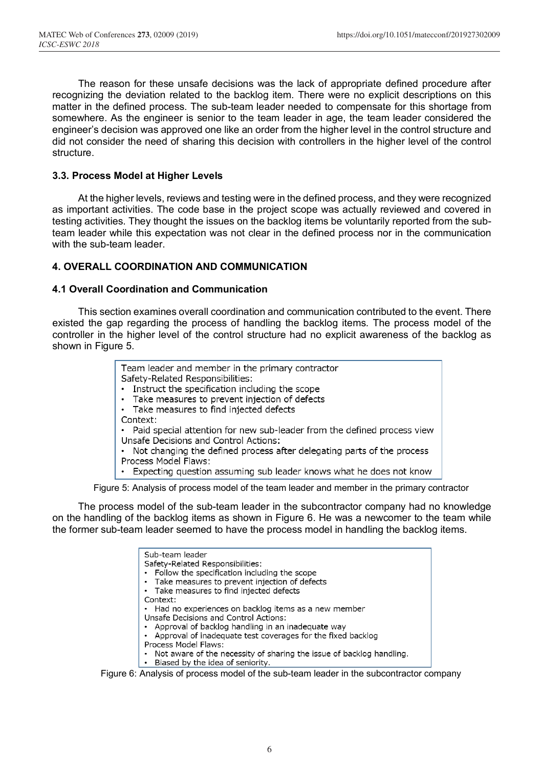The reason for these unsafe decisions was the lack of appropriate defined procedure after recognizing the deviation related to the backlog item. There were no explicit descriptions on this matter in the defined process. The sub-team leader needed to compensate for this shortage from somewhere. As the engineer is senior to the team leader in age, the team leader considered the engineer's decision was approved one like an order from the higher level in the control structure and did not consider the need of sharing this decision with controllers in the higher level of the control structure.

#### **3.3. Process Model at Higher Levels**

At the higher levels, reviews and testing were in the defined process, and they were recognized as important activities. The code base in the project scope was actually reviewed and covered in testing activities. They thought the issues on the backlog items be voluntarily reported from the subteam leader while this expectation was not clear in the defined process nor in the communication with the sub-team leader.

### **4. OVERALL COORDINATION AND COMMUNICATION**

#### **4.1 Overall Coordination and Communication**

This section examines overall coordination and communication contributed to the event. There existed the gap regarding the process of handling the backlog items. The process model of the controller in the higher level of the control structure had no explicit awareness of the backlog as shown in Figure 5.

| Team leader and member in the primary contractor<br>Safety-Related Responsibilities:<br>• Instruct the specification including the scope<br>• Take measures to prevent injection of defects<br>• Take measures to find injected defects<br>Context:<br>• Paid special attention for new sub-leader from the defined process view |
|----------------------------------------------------------------------------------------------------------------------------------------------------------------------------------------------------------------------------------------------------------------------------------------------------------------------------------|
| Unsafe Decisions and Control Actions:                                                                                                                                                                                                                                                                                            |
| • Not changing the defined process after delegating parts of the process                                                                                                                                                                                                                                                         |
| Process Model Flaws:                                                                                                                                                                                                                                                                                                             |
| • Expecting question assuming sub leader knows what he does not know                                                                                                                                                                                                                                                             |
| a 5: Anglueis of process model of the team leader and member in the primary conti                                                                                                                                                                                                                                                |

Figure 5: Analysis of process model of the team leader and member in the primary contractor

The process model of the sub-team leader in the subcontractor company had no knowledge on the handling of the backlog items as shown in Figure 6. He was a newcomer to the team while the former sub-team leader seemed to have the process model in handling the backlog items.

| Sub-team leader<br>Safety-Related Responsibilities:<br>• Follow the specification including the scope |
|-------------------------------------------------------------------------------------------------------|
| • Take measures to prevent injection of defects<br>• Take measures to find injected defects           |
| Context:                                                                                              |
| • Had no experiences on backlog items as a new member                                                 |
| Unsafe Decisions and Control Actions:                                                                 |
| • Approval of backlog handling in an inadequate way                                                   |
| Approval of inadequate test coverages for the fixed backlog                                           |
| Process Model Flaws:                                                                                  |
| • Not aware of the necessity of sharing the issue of backlog handling.                                |
| • Biased by the idea of seniority.                                                                    |

Figure 6: Analysis of process model of the sub-team leader in the subcontractor company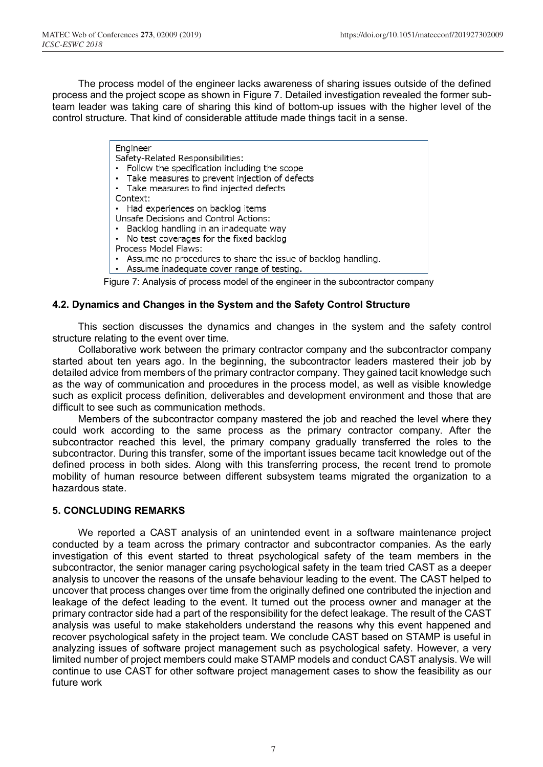The process model of the engineer lacks awareness of sharing issues outside of the defined process and the project scope as shown in Figure 7. Detailed investigation revealed the former subteam leader was taking care of sharing this kind of bottom-up issues with the higher level of the control structure. That kind of considerable attitude made things tacit in a sense.

Engineer

Safety-Related Responsibilities:

• Follow the specification including the scope

- Take measures to prevent injection of defects
- Take measures to find injected defects
- Context:

• Had experiences on backlog items

- Unsafe Decisions and Control Actions:
- Backlog handling in an inadequate way
- No test coverages for the fixed backlog
- Process Model Flaws:
- Assume no procedures to share the issue of backlog handling.
	- Assume inadequate cover range of testing.

Figure 7: Analysis of process model of the engineer in the subcontractor company

#### **4.2. Dynamics and Changes in the System and the Safety Control Structure**

This section discusses the dynamics and changes in the system and the safety control structure relating to the event over time.

Collaborative work between the primary contractor company and the subcontractor company started about ten years ago. In the beginning, the subcontractor leaders mastered their job by detailed advice from members of the primary contractor company. They gained tacit knowledge such as the way of communication and procedures in the process model, as well as visible knowledge such as explicit process definition, deliverables and development environment and those that are difficult to see such as communication methods.

Members of the subcontractor company mastered the job and reached the level where they could work according to the same process as the primary contractor company. After the subcontractor reached this level, the primary company gradually transferred the roles to the subcontractor. During this transfer, some of the important issues became tacit knowledge out of the defined process in both sides. Along with this transferring process, the recent trend to promote mobility of human resource between different subsystem teams migrated the organization to a hazardous state.

### **5. CONCLUDING REMARKS**

We reported a CAST analysis of an unintended event in a software maintenance project conducted by a team across the primary contractor and subcontractor companies. As the early investigation of this event started to threat psychological safety of the team members in the subcontractor, the senior manager caring psychological safety in the team tried CAST as a deeper analysis to uncover the reasons of the unsafe behaviour leading to the event. The CAST helped to uncover that process changes over time from the originally defined one contributed the injection and leakage of the defect leading to the event. It turned out the process owner and manager at the primary contractor side had a part of the responsibility for the defect leakage. The result of the CAST analysis was useful to make stakeholders understand the reasons why this event happened and recover psychological safety in the project team. We conclude CAST based on STAMP is useful in analyzing issues of software project management such as psychological safety. However, a very limited number of project members could make STAMP models and conduct CAST analysis. We will continue to use CAST for other software project management cases to show the feasibility as our future work